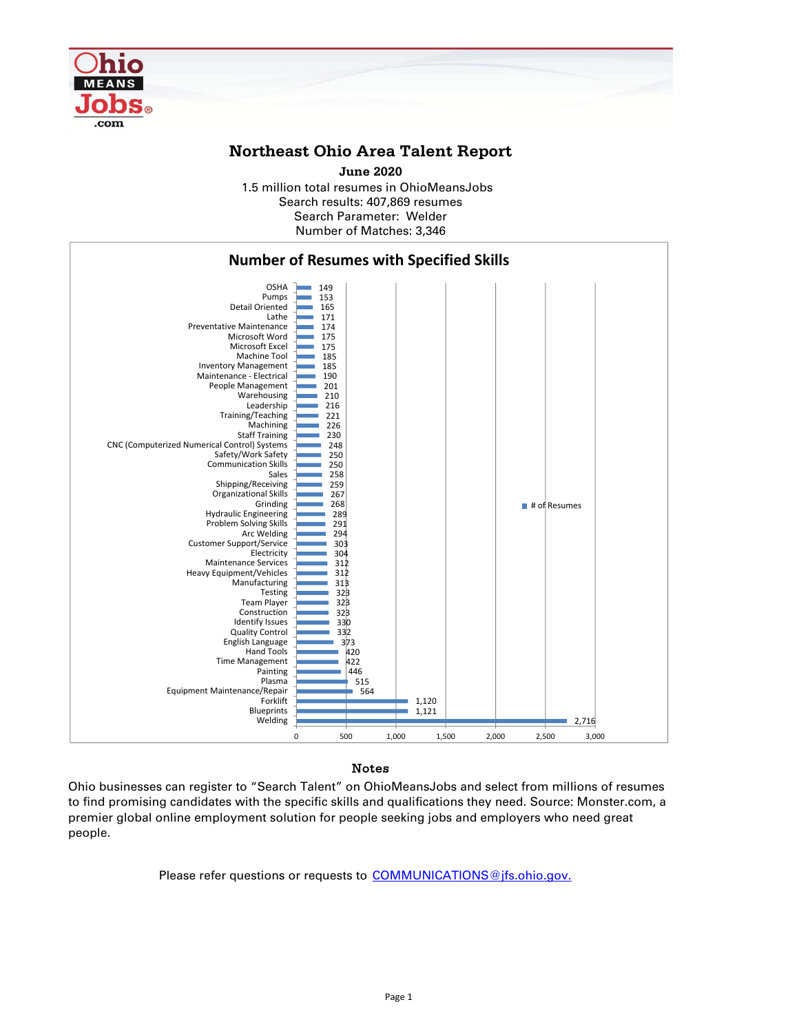

## **Northeast Ohio Area Talent Report**

1.5 million total resumes in OhioMeansJobs Search results: 407,869 resumes Number of Matches: 3,346 Search Parameter: Welder **June 2020**



## **Notes**

Ohio businesses can register to "Search Talent" on OhioMeansJobs and select from millions of resumes to find promising candidates with the specific skills and qualifications they need. Source: Monster.com, a premier global online employment solution for people seeking jobs and employers who need great people.

Please refer questions or requests to COMMUNICATIONS@jfs.ohio.gov.